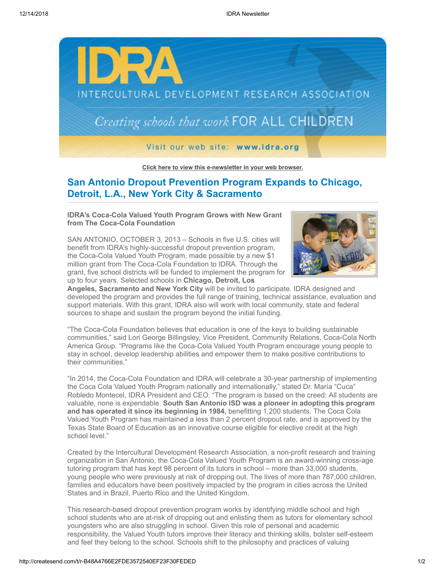

**[Click here to view this e-newsletter in your web browser.](http://newsletter.impulsedevelopment.com/t/r-e-nfjyjy-l-r/)**

## **San Antonio Dropout Prevention Program Expands to Chicago, Detroit, L.A., New York City & Sacramento**

**IDRA's Coca-Cola Valued Youth Program Grows with New Grant from The Coca-Cola Foundation**

SAN ANTONIO, OCTOBER 3, 2013 – Schools in five U.S. cities will benefit from IDRA's highly-successful dropout prevention program, the Coca-Cola Valued Youth Program, made possible by a new \$1 million grant from The Coca-Cola Foundation to IDRA. Through the grant, five school districts will be funded to implement the program for up to four years. Selected schools in **Chicago, Detroit, Los**



**Angeles, Sacramento and New York City** will be invited to participate. IDRA designed and developed the program and provides the full range of training, technical assistance, evaluation and support materials. With this grant, IDRA also will work with local community, state and federal sources to shape and sustain the program beyond the initial funding.

"The Coca-Cola Foundation believes that education is one of the keys to building sustainable communities," said Lori George Billingsley, Vice President, Community Relations, Coca-Cola North America Group. "Programs like the Coca-Cola Valued Youth Program encourage young people to stay in school, develop leadership abilities and empower them to make positive contributions to their communities."

"In 2014, the Coca-Cola Foundation and IDRA will celebrate a 30-year partnership of implementing the Coca Cola Valued Youth Program nationally and internationally," stated Dr. María "Cuca" Robledo Montecel, IDRA President and CEO. "The program is based on the creed: All students are valuable, none is expendable. **South San Antonio ISD was a pioneer in adopting this program and has operated it since its beginning in 1984,** benefitting 1,200 students. The Coca Cola Valued Youth Program has maintained a less than 2 percent dropout rate, and is approved by the Texas State Board of Education as an innovative course eligible for elective credit at the high school level."

Created by the Intercultural Development Research Association, a non-profit research and training organization in San Antonio, the Coca-Cola Valued Youth Program is an award-winning cross-age tutoring program that has kept 98 percent of its tutors in school – more than 33,000 students, young people who were previously at risk of dropping out. The lives of more than 787,000 children, families and educators have been positively impacted by the program in cities across the United States and in Brazil, Puerto Rico and the United Kingdom.

This research-based dropout prevention program works by identifying middle school and high school students who are at-risk of dropping out and enlisting them as tutors for elementary school youngsters who are also struggling in school. Given this role of personal and academic responsibility, the Valued Youth tutors improve their literacy and thinking skills, bolster self-esteem and feel they belong to the school. Schools shift to the philosophy and practices of valuing